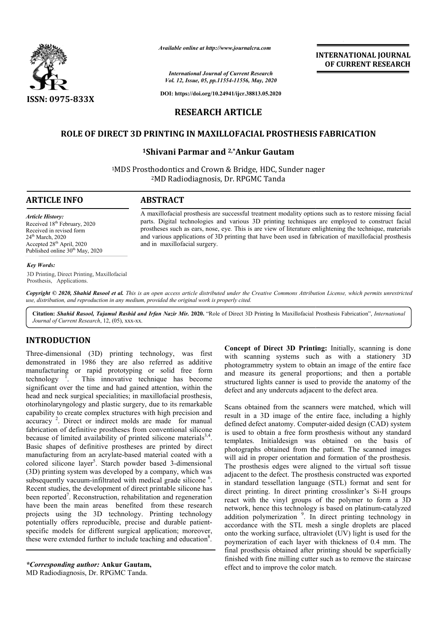

*Available online at http://www.journalcra.com*

*International Journal of Current Research Vol. 12, Issue, 05, pp.11554-11556, May, 2020* **INTERNATIONAL JOURNAL OF CURRENT RESEARCH**

**DOI: https://doi.org/10.24941/ijcr.38813.05.2020**

# **RESEARCH ARTICLE**

# **ROLE OF DIRECT 3D PRINTING IN MAXILLOFACIAL PROSTHESIS FABRICATION**

# **1Shivani Parmar and Shivani 2,\*Ankur Gautam**

<sup>1</sup>MDS Prosthodontics and Crown & Bridge, HDC, Sunder nager 2MD Radiodiagnosis MD Radiodiagnosis, Dr. RPGMC Tanda

## **ARTICLE INFO ABSTRACT**

A maxillofacial prosthesis are successful treatment modality options such as to restore missing facial A maxillofacial prosthesis are successful treatment modality options such as to restore missing facial parts. Digital technologies and various 3D printing techniques are employed to construct facial prostheses such as ears, nose, eye. This is are view of literature enlightening the technique, materials and various applications of 3D printing that have been used in fabrication of maxillofacial prosthesis and in maxillofacia maxillofacial surgery.

### *Article History:* Received 18<sup>th</sup> February, 2020 Received in revised form 24<sup>th</sup> March, 2020 Accepted 28<sup>th</sup> April, 2020 Published online 30<sup>th</sup> May, 2020

### *Key Words:*

3D Printing, Direct Printing, Maxillofacial Prosthesis, Applications.

Copyright © 2020, Shahid Rasool et al. This is an open access article distributed under the Creative Commons Attribution License, which permits unrestrictea *use, distribution, and reproduction in any medium, provided the original work is properly cited.*

Citation: Shahid Rasool, Tajamul Rashid and Irfan Nazir Mir. 2020. "Role of Direct 3D Printing In Maxillofacial Prosthesis Fabrication", International *Journal of Current Research*, 12, (05), xxx-xx.

# **INTRODUCTION**

Three-dimensional (3D) printing technology, was first demonstrated in 1986 they are also referred as additive manufacturing or rapid prototyping or solid free form technology <sup>1</sup> . This innovative technique has become significant over the time and had gained attention, within the head and neck surgical specialities; in maxillofacial prosthesis, otorhinolaryngology and plastic surgery, due to its remarkable capability to create complex structures with high precision and accuracy<sup>2</sup>. Direct or indirect molds are made for manual fabrication of definitive prostheses from conventional silicone because of limited availability of printed silicone materials  $3,4$ . Basic shapes of definitive prostheses are printed by direct manufacturing from an acrylate-based material coated with a manufacturing from an acrylate-based material coated with a colored silicone layer<sup>5</sup>. Starch powder based 3-dimensional (3D) printing system was developed by a company, which was subsequently vacuum-infiltrated with medical grade silicone<sup>6</sup>. Recent studies, the development of direct printable silicone has been reported<sup>7</sup>. Reconstruction, rehabilitation and regeneration have been the main areas benefited from these research projects using the 3D technology. Printing technology potentially offers reproducible, precise and durable patient patientspecific models for different surgical application; moreover, these were extended further to include teaching and education $8$ . dimensional (3D) printing technology, was first<br>strated in 1986 they are also referred as additive<br>acturing or rapid prototyping or solid free form<br>logy<sup>-1</sup>. This innovative technique has become<br>cant over the time and had

*\*Corresponding author:* **Ankur Gautam,** MD Radiodiagnosis, Dr. RPGMC Tanda.

**Concept of Direct 3D Printing:** Initially, scanning is done with scanning systems such as with a stationery 3D photogrammetry system to obtain an image of the entire face and measure its general proportions; and then a portable structured lights canner is used to provide the anatomy of the defect and any undercuts adjacent to the defect area.

Scans obtained from the scanners were matched, which will Scans obtained from the scanners were matched, which will result in a 3D image of the entire face, including a highly defined defect anatomy. Computer-aided design (CAD) system is used to obtain a free form prosthesis without any standard templates. Initialdesign was obtained on the basis of photographs obtained from the patient. The scanned will aid in proper orientation and formation of the prosthesis. The prosthesis edges were aligned to the virtual soft tissue adjacent to the defect. The prosthesis constructed was exported in standard tessellation language (STL) format and sent for direct printing. In direct printing crosslinker's Si-H groups react with the vinyl groups of the polymer to form a 3D react with the vinyl groups of the polymer to form a 3D network, hence this technology is based on platinum-catalyzed addition polymerization<sup>9</sup>. In direct printing technology in accordance with the STL mesh a single droplets are placed onto the working surface, ultraviolet (UV) light is used for the poymerization of each layer with thickness of 0.4 mm. The final prosthesis obtained after printing should be superficially finished with fine milling cutter such as to remove the staircase effect and to improve the color match. used to obtain a free form prosthesis without any standard<br>nplates. Initialdesign was obtained on the basis of<br>otographs obtained from the patient. The scanned images e prosthesis edges were aligned to the virtual soft tissue acent to the defect. The prosthesis constructed was exported standard tessellation language (STL) format and sent for ect printing. In direct printing crosslinker' INTERNATIONAL JOURNAL<br>
The Transmith Correlation Correlation Correlation<br>
2020<br>
1920<br>
1920<br>
1920<br>
1920<br>
1920<br>
1920<br>
1920<br>
1920<br>
1920<br>
1920<br>
1920<br>
1920<br>
1920<br>
1920<br>
1920<br>
1920<br>
1920<br>
1920<br>
1920<br>
1920<br>
1920<br>
1920<br>
1920<br>
1920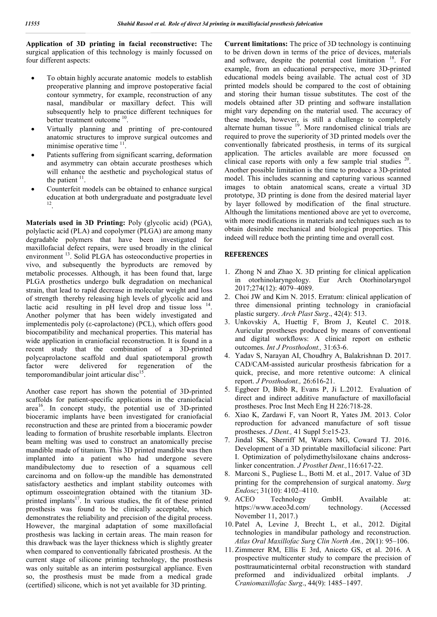**Application of 3D printing in facial reconstructive:** The surgical application of this technology is mainly focussed on four different aspects:

- To obtain highly accurate anatomic models to establish preoperative planning and improve postoperative facial contour symmetry, for example, reconstruction of any nasal, mandibular or maxillary defect. This will subsequently help to practice different techniques for better treatment outcome <sup>10</sup>.
- Virtually planning and printing of pre-contoured anatomic structures to improve surgical outcomes and minimise operative time <sup>11</sup>
- Patients suffering from significant scarring, deformation and asymmetry can obtain accurate prostheses which will enhance the aesthetic and psychological status of the patient  $11$ .
- Counterfeit models can be obtained to enhance surgical education at both undergraduate and postgraduate level 12.

**Materials used in 3D Printing:** Poly (glycolic acid) (PGA), polylactic acid (PLA) and copolymer (PLGA) are among many degradable polymers that have been investigated for maxillofacial defect repairs, were used broadly in the clinical environment <sup>13</sup>. Solid PLGA has osteoconductive properties in vivo, and subsequently the byproducts are removed by metabolic processes. Although, it has been found that, large PLGA prosthetics undergo bulk degradation on mechanical strain, that lead to rapid decrease in molecular weight and loss of strength thereby releasing high levels of glycolic acid and lactic acid resulting in  $pH$  level drop and tissue loss  $14$ . Another polymer that has been widely investigated and implementedis poly (ε-caprolactone) (PCL), which offers good biocompatibility and mechanical properties. This material has wide application in craniofacial reconstruction. It is found in a recent study that the combination of a 3D-printed polycaprolactone scaffold and dual spatiotemporal growth factor were delivered for regeneration of the temporomandibular joint articular disc<sup>15</sup>

Another case report has shown the potential of 3D-printed scaffolds for patient-specific applications in the craniofacial area<sup>16</sup>. In concept study, the potential use of 3D-printed bioceramic implants have been investigated for craniofacial reconstruction and these are printed from a bioceramic powder leading to formation of brushite resorbable implants. Electron beam melting was used to construct an anatomically precise mandible made of titanium. This 3D printed mandible was then implanted into a patient who had undergone severe mandibulectomy due to resection of a squamous cell carcinoma and on follow-up the mandible has demonstrated satisfactory aesthetics and implant stability outcomes with optimum osseointegration obtained with the titanium 3Dprinted implants $17$ . In various studies, the fit of these printed prosthesis was found to be clinically acceptable, which demonstrates the reliability and precision of the digital process. However, the marginal adaptation of some maxillofacial prosthesis was lacking in certain areas. The main reason for this drawback was the layer thickness which is slightly greater when compared to conventionally fabricated prosthesis. At the current stage of silicone printing technology, the prosthesis was only suitable as an interim postsurgical appliance. Even so, the prosthesis must be made from a medical grade (certified) silicone, which is not yet available for 3D printing.

**Current limitations:** The price of 3D technology is continuing to be driven down in terms of the price of devices, materials and software, despite the potential cost limitation  $18$ . For example, from an educational perspective, more 3D-printed educational models being available. The actual cost of 3D printed models should be compared to the cost of obtaining and storing their human tissue substitutes. The cost of the models obtained after 3D printing and software installation might vary depending on the material used. The accuracy of these models, however, is still a challenge to completely alternate human tissue <sup>19</sup>. More randomised clinical trials are required to prove the superiority of 3D printed models over the conventionally fabricated prosthesis, in terms of its surgical application. The articles available are more focussed on clinical case reports with only a few sample trial studies 20. Another possible limitation is the time to produce a 3D-printed model. This includes scanning and capturing various scanned images to obtain anatomical scans, create a virtual 3D prototype, 3D printing is done from the desired material layer by layer followed by modification of the final structure. Although the limitations mentioned above are yet to overcome, with more modifications in materials and techniques such as to obtain desirable mechanical and biological properties. This indeed will reduce both the printing time and overall cost.

## **REFERENCES**

- 1. Zhong N and Zhao X. 3D printing for clinical application in otorhinolaryngology. Eur Arch Otorhinolaryngol 2017;274(12): 4079–4089.
- 2. Choi JW and Kim N. 2015. Erratum: clinical application of three dimensional printing technology in craniofacial plastic surgery. *Arch Plast Surg*., 42(4): 513.
- 3. Unkovskiy A, Huettig F, Brom J, Keutel C. 2018. Auricular prostheses produced by means of conventional and digital workflows: A clinical report on esthetic outcomes. *Int J Prosthodont.,* 31:63-6.
- 4. Yadav S, Narayan AI, Choudhry A, Balakrishnan D. 2017. CAD/CAM-assisted auricular prosthesis fabrication for a quick, precise, and more retentive outcome: A clinical report. *J Prosthodont.,* 26:616-21.
- 5. Eggbeer D, Bibb R, Evans P, Ji L.2012. Evaluation of direct and indirect additive manufacture of maxillofacial prostheses. Proc Inst Mech Eng H 226:718-28.
- 6. Xiao K, Zardawi F, van Noort R, Yates JM. 2013. Color reproduction for advanced manufacture of soft tissue prostheses. *J Dent.,* 41 Suppl 5:e15-23.
- 7. Jindal SK, Sherriff M, Waters MG, Coward TJ. 2016. Development of a 3D printable maxillofacial silicone: Part I. Optimization of polydimethylsiloxane chains andcrosslinker concentration. *J Prosthet Dent.,*116:617-22.
- 8. Marconi S., Pugliese L., Botti M. et al., 2017. Value of 3D printing for the comprehension of surgical anatomy. *Surg Endosc*; 31(10): 4102–4110.
- 9. ACEO Technology GmbH. Available at: https://www.aceo3d.com/ technology. (Accessed November 11, 2017.)
- 10. Patel A, Levine J, Brecht L, et al., 2012. Digital technologies in mandibular pathology and reconstruction. *Atlas Oral Maxillofac Surg Clin North Am.,* 20(1): 95–106.
- 11. Zimmerer RM, Ellis E 3rd, Aniceto GS, et al. 2016. A prospective multicenter study to compare the precision of posttraumaticinternal orbital reconstruction with standard preformed and individualized orbital implants. *J Craniomaxillofac Surg*., 44(9): 1485–1497.